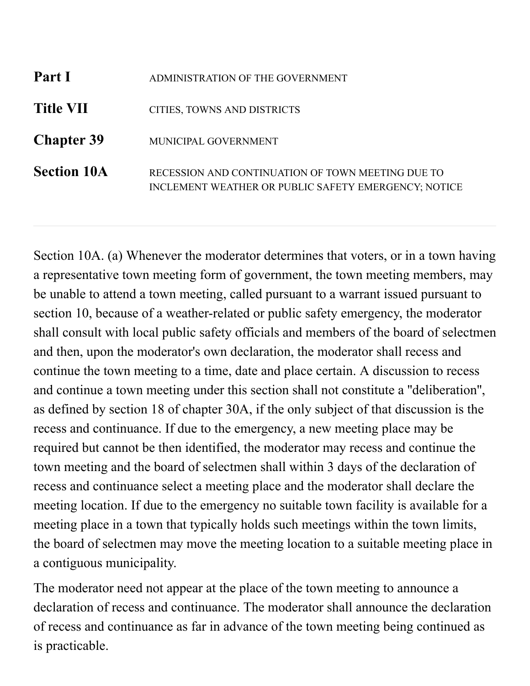| Part I             | ADMINISTRATION OF THE GOVERNMENT                                                                          |
|--------------------|-----------------------------------------------------------------------------------------------------------|
| <b>Title VII</b>   | CITIES, TOWNS AND DISTRICTS                                                                               |
| <b>Chapter 39</b>  | MUNICIPAL GOVERNMENT                                                                                      |
| <b>Section 10A</b> | RECESSION AND CONTINUATION OF TOWN MEETING DUE TO<br>INCLEMENT WEATHER OR PUBLIC SAFETY EMERGENCY; NOTICE |

Section 10A. (a) Whenever the moderator determines that voters, or in a town having a representative town meeting form of government, the town meeting members, may be unable to attend a town meeting, called pursuant to a warrant issued pursuant to section 10, because of a weather-related or public safety emergency, the moderator shall consult with local public safety officials and members of the board of selectmen and then, upon the moderator's own declaration, the moderator shall recess and continue the town meeting to a time, date and place certain. A discussion to recess and continue a town meeting under this section shall not constitute a ''deliberation'', as defined by section 18 of chapter 30A, if the only subject of that discussion is the recess and continuance. If due to the emergency, a new meeting place may be required but cannot be then identified, the moderator may recess and continue the town meeting and the board of selectmen shall within 3 days of the declaration of recess and continuance select a meeting place and the moderator shall declare the meeting location. If due to the emergency no suitable town facility is available for a meeting place in a town that typically holds such meetings within the town limits, the board of selectmen may move the meeting location to a suitable meeting place in a contiguous municipality.

The moderator need not appear at the place of the town meeting to announce a declaration of recess and continuance. The moderator shall announce the declaration of recess and continuance as far in advance of the town meeting being continued as is practicable.